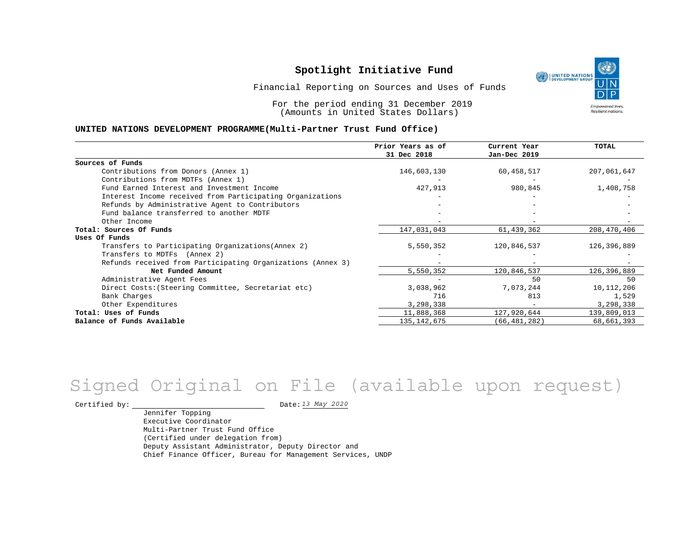

Financial Reporting on Sources and Uses of Funds

For the period ending 31 December 2019 (Amounts in United States Dollars)

#### **UNITED NATIONS DEVELOPMENT PROGRAMME(Multi-Partner Trust Fund Office)**

|                                                             | Prior Years as of<br>31 Dec 2018 | Current Year<br>Jan-Dec 2019 | TOTAL       |
|-------------------------------------------------------------|----------------------------------|------------------------------|-------------|
| Sources of Funds                                            |                                  |                              |             |
| Contributions from Donors (Annex 1)                         | 146,603,130                      | 60,458,517                   | 207,061,647 |
| Contributions from MDTFs (Annex 1)                          |                                  |                              |             |
| Fund Earned Interest and Investment Income                  | 427,913                          | 980,845                      | 1,408,758   |
| Interest Income received from Participating Organizations   |                                  |                              |             |
| Refunds by Administrative Agent to Contributors             |                                  |                              |             |
| Fund balance transferred to another MDTF                    |                                  |                              |             |
| Other Income                                                |                                  |                              |             |
| Total: Sources Of Funds                                     | 147,031,043                      | 61,439,362                   | 208,470,406 |
| Uses Of Funds                                               |                                  |                              |             |
| Transfers to Participating Organizations (Annex 2)          | 5,550,352                        | 120,846,537                  | 126,396,889 |
| Transfers to MDTFs (Annex 2)                                |                                  |                              |             |
| Refunds received from Participating Organizations (Annex 3) |                                  |                              |             |
| Net Funded Amount                                           | 5,550,352                        | 120,846,537                  | 126,396,889 |
| Administrative Agent Fees                                   |                                  | 50                           | 50          |
| Direct Costs: (Steering Committee, Secretariat etc)         | 3,038,962                        | 7,073,244                    | 10,112,206  |
| Bank Charges                                                | 716                              | 813                          | 1,529       |
| Other Expenditures                                          | 3,298,338                        | $\overline{\phantom{a}}$     | 3,298,338   |
| Total: Uses of Funds                                        | 11,888,368                       | 127,920,644                  | 139,809,013 |
| Balance of Funds Available                                  | 135, 142, 675                    | (66, 481, 282)               | 68,661,393  |

# *13 May 2020* Signed Original on File (available upon request)

Certified by:  $\frac{13 May 2020}{1200}$ 

Jennifer Topping Executive Coordinator Multi-Partner Trust Fund Office (Certified under delegation from) Deputy Assistant Administrator, Deputy Director and Chief Finance Officer, Bureau for Management Services, UNDP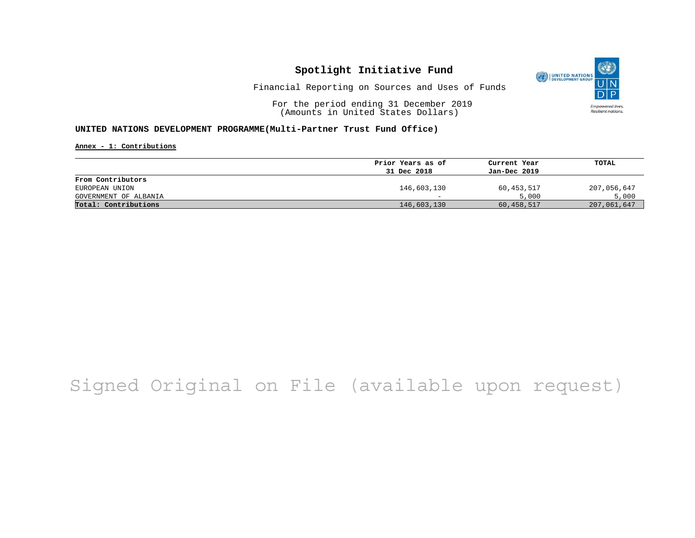

Financial Reporting on Sources and Uses of Funds

For the period ending 31 December 2019 (Amounts in United States Dollars)

#### **UNITED NATIONS DEVELOPMENT PROGRAMME(Multi-Partner Trust Fund Office)**

**Annex - 1: Contributions**

|                       | Prior Years as of        | Current Year | TOTAL       |
|-----------------------|--------------------------|--------------|-------------|
|                       | 31 Dec 2018              | Jan-Dec 2019 |             |
| From Contributors     |                          |              |             |
| EUROPEAN UNION        | 146,603,130              | 60,453,517   | 207,056,647 |
| GOVERNMENT OF ALBANIA | $\overline{\phantom{0}}$ | 5,000        | 5,000       |
| Total: Contributions  | 146,603,130              | 60,458,517   | 207,061,647 |

# Signed Original on File (available upon request)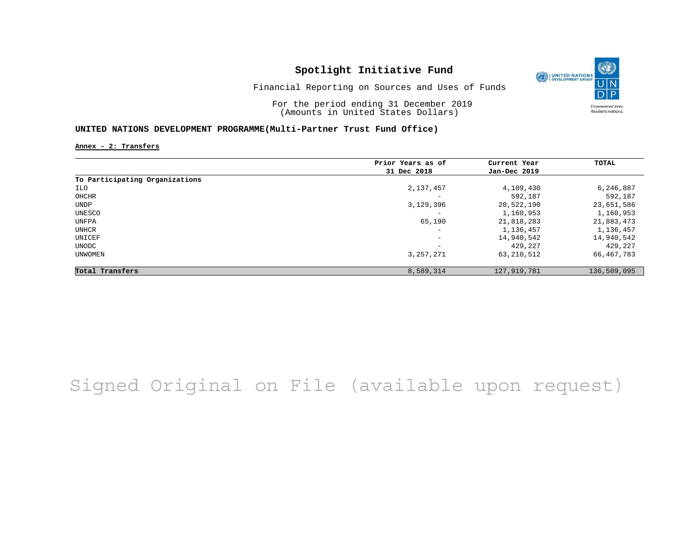

Financial Reporting on Sources and Uses of Funds

For the period ending 31 December 2019 (Amounts in United States Dollars)

#### **UNITED NATIONS DEVELOPMENT PROGRAMME(Multi-Partner Trust Fund Office)**

**Annex - 2: Transfers**

|                                | Prior Years as of | Current Year  | <b>TOTAL</b> |
|--------------------------------|-------------------|---------------|--------------|
|                                | 31 Dec 2018       | Jan-Dec 2019  |              |
| To Participating Organizations |                   |               |              |
| ILO                            | 2,137,457         | 4,109,430     | 6,246,887    |
| OHCHR                          |                   | 592,187       | 592,187      |
| <b>UNDP</b>                    | 3,129,396         | 20,522,190    | 23,651,586   |
| UNESCO                         | -                 | 1,160,953     | 1,160,953    |
| UNFPA                          | 65,190            | 21,818,283    | 21,883,473   |
| UNHCR                          | -                 | 1,136,457     | 1,136,457    |
| UNICEF                         | -                 | 14,940,542    | 14,940,542   |
| UNODC                          | -                 | 429,227       | 429,227      |
| UNWOMEN                        | 3, 257, 271       | 63, 210, 512  | 66,467,783   |
| Total Transfers                | 8,589,314         | 127, 919, 781 | 136,509,095  |

# Signed Original on File (available upon request)